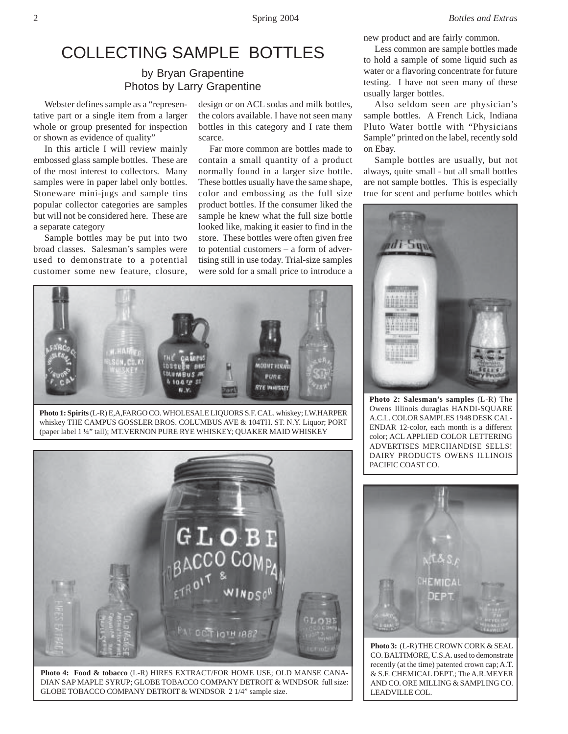# COLLECTING SAMPLE BOTTLES

## by Bryan Grapentine Photos by Larry Grapentine

Webster defines sample as a "representative part or a single item from a larger whole or group presented for inspection or shown as evidence of quality"

In this article I will review mainly embossed glass sample bottles. These are of the most interest to collectors. Many samples were in paper label only bottles. Stoneware mini-jugs and sample tins popular collector categories are samples but will not be considered here. These are a separate category

Sample bottles may be put into two broad classes. Salesman's samples were used to demonstrate to a potential customer some new feature, closure,

design or on ACL sodas and milk bottles, the colors available. I have not seen many bottles in this category and I rate them scarce.

Far more common are bottles made to contain a small quantity of a product normally found in a larger size bottle. These bottles usually have the same shape, color and embossing as the full size product bottles. If the consumer liked the sample he knew what the full size bottle looked like, making it easier to find in the store. These bottles were often given free to potential customers – a form of advertising still in use today. Trial-size samples were sold for a small price to introduce a



**Photo 1: Spirits** (L-R) E,A,FARGO CO. WHOLESALE LIQUORS S.F. CAL. whiskey; I.W.HARPER whiskey THE CAMPUS GOSSLER BROS. COLUMBUS AVE & 104TH. ST. N.Y. Liquor; PORT (paper label 1 ¼" tall); MT.VERNON PURE RYE WHISKEY; QUAKER MAID WHISKEY



DIAN SAP MAPLE SYRUP; GLOBE TOBACCO COMPANY DETROIT & WINDSOR full size: GLOBE TOBACCO COMPANY DETROIT & WINDSOR 2 1/4" sample size.

new product and are fairly common.

Less common are sample bottles made to hold a sample of some liquid such as water or a flavoring concentrate for future testing. I have not seen many of these usually larger bottles.

Also seldom seen are physician's sample bottles. A French Lick, Indiana Pluto Water bottle with "Physicians Sample" printed on the label, recently sold on Ebay.

Sample bottles are usually, but not always, quite small - but all small bottles are not sample bottles. This is especially true for scent and perfume bottles which



**Photo 2: Salesman's samples** (L-R) The Owens Illinois duraglas HANDI-SQUARE A.C.L. COLOR SAMPLES 1948 DESK CAL-ENDAR 12-color, each month is a different color; ACL APPLIED COLOR LETTERING ADVERTISES MERCHANDISE SELLS! DAIRY PRODUCTS OWENS ILLINOIS PACIFIC COAST CO.



**Photo 3:** (L-R) THE CROWN CORK & SEAL CO. BALTIMORE, U.S.A. used to demonstrate recently (at the time) patented crown cap; A.T. & S.F. CHEMICAL DEPT.; The A.R.MEYER AND CO. ORE MILLING & SAMPLING CO. LEADVILLE COL.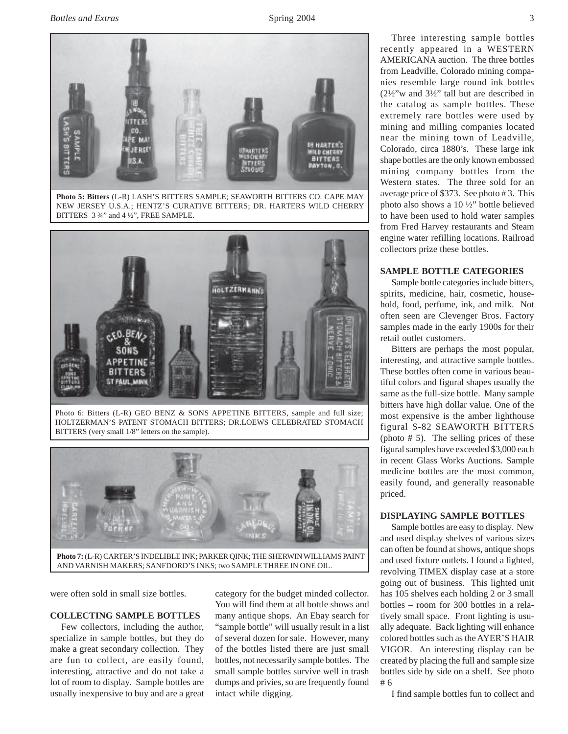

**Photo 5: Bitters** (L-R) LASH'S BITTERS SAMPLE; SEAWORTH BITTERS CO. CAPE MAY NEW JERSEY U.S.A.; HENTZ'S CURATIVE BITTERS; DR. HARTERS WILD CHERRY BITTERS 3 ¾" and 4 ½", FREE SAMPLE.



Photo 6: Bitters (L-R) GEO BENZ & SONS APPETINE BITTERS, sample and full size; HOLTZERMAN'S PATENT STOMACH BITTERS; DR.LOEWS CELEBRATED STOMACH BITTERS (very small 1/8" letters on the sample).



AND VARNISH MAKERS; SANFDORD'S INKS; two SAMPLE THREE IN ONE OIL.

were often sold in small size bottles.

#### **COLLECTING SAMPLE BOTTLES**

Few collectors, including the author, specialize in sample bottles, but they do make a great secondary collection. They are fun to collect, are easily found, interesting, attractive and do not take a lot of room to display. Sample bottles are usually inexpensive to buy and are a great category for the budget minded collector. You will find them at all bottle shows and many antique shops. An Ebay search for "sample bottle" will usually result in a list of several dozen for sale. However, many of the bottles listed there are just small bottles, not necessarily sample bottles. The small sample bottles survive well in trash dumps and privies, so are frequently found intact while digging.

Three interesting sample bottles recently appeared in a WESTERN AMERICANA auction. The three bottles from Leadville, Colorado mining companies resemble large round ink bottles (2½"w and 3½" tall but are described in the catalog as sample bottles. These extremely rare bottles were used by mining and milling companies located near the mining town of Leadville, Colorado, circa 1880's. These large ink shape bottles are the only known embossed mining company bottles from the Western states. The three sold for an average price of \$373. See photo # 3. This photo also shows a 10 ½" bottle believed to have been used to hold water samples from Fred Harvey restaurants and Steam engine water refilling locations. Railroad collectors prize these bottles.

#### **SAMPLE BOTTLE CATEGORIES**

Sample bottle categories include bitters, spirits, medicine, hair, cosmetic, household, food, perfume, ink, and milk. Not often seen are Clevenger Bros. Factory samples made in the early 1900s for their retail outlet customers.

Bitters are perhaps the most popular, interesting, and attractive sample bottles. These bottles often come in various beautiful colors and figural shapes usually the same as the full-size bottle. Many sample bitters have high dollar value. One of the most expensive is the amber lighthouse figural S-82 SEAWORTH BITTERS (photo # 5). The selling prices of these figural samples have exceeded \$3,000 each in recent Glass Works Auctions. Sample medicine bottles are the most common, easily found, and generally reasonable priced.

### **DISPLAYING SAMPLE BOTTLES**

Sample bottles are easy to display. New and used display shelves of various sizes can often be found at shows, antique shops and used fixture outlets. I found a lighted, revolving TIMEX display case at a store going out of business. This lighted unit has 105 shelves each holding 2 or 3 small bottles – room for 300 bottles in a relatively small space. Front lighting is usually adequate. Back lighting will enhance colored bottles such as the AYER'S HAIR VIGOR. An interesting display can be created by placing the full and sample size bottles side by side on a shelf. See photo # 6

I find sample bottles fun to collect and